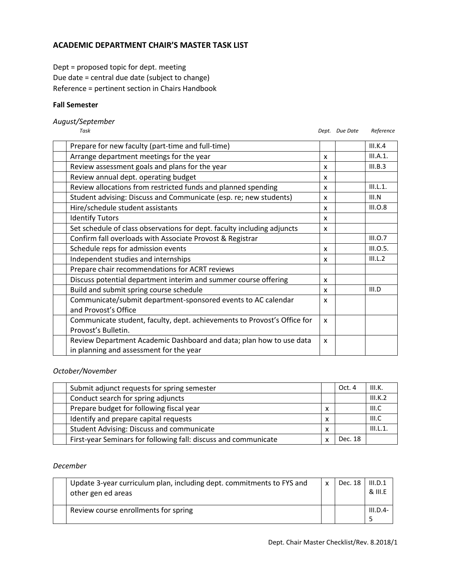## **ACADEMIC DEPARTMENT CHAIR'S MASTER TASK LIST**

Dept = proposed topic for dept. meeting Due date = central due date (subject to change) Reference = pertinent section in Chairs Handbook

#### **Fall Semester**

## *August/September*

*Task Dept. Due Date Reference*

| Prepare for new faculty (part-time and full-time)                        |   | III.K.4  |
|--------------------------------------------------------------------------|---|----------|
| Arrange department meetings for the year                                 | x | III.A.1. |
| Review assessment goals and plans for the year                           | x | III.B.3  |
| Review annual dept. operating budget                                     | x |          |
| Review allocations from restricted funds and planned spending            | x | III.L.1. |
| Student advising: Discuss and Communicate (esp. re; new students)        | x | III.N    |
| Hire/schedule student assistants                                         | x | III.0.8  |
| <b>Identify Tutors</b>                                                   | x |          |
| Set schedule of class observations for dept. faculty including adjuncts  | x |          |
| Confirm fall overloads with Associate Provost & Registrar                |   | III.0.7  |
| Schedule reps for admission events                                       | x | III.O.5. |
| Independent studies and internships                                      | x | III.L.2  |
| Prepare chair recommendations for ACRT reviews                           |   |          |
| Discuss potential department interim and summer course offering          | X |          |
| Build and submit spring course schedule                                  | x | III.D    |
| Communicate/submit department-sponsored events to AC calendar            | x |          |
| and Provost's Office                                                     |   |          |
| Communicate student, faculty, dept. achievements to Provost's Office for | X |          |
| Provost's Bulletin.                                                      |   |          |
| Review Department Academic Dashboard and data; plan how to use data      | x |          |
| in planning and assessment for the year                                  |   |          |

#### *October/November*

| Submit adjunct requests for spring semester                     |   | Oct. 4  | III.K.   |
|-----------------------------------------------------------------|---|---------|----------|
| Conduct search for spring adjuncts                              |   |         | III.K.2  |
| Prepare budget for following fiscal year                        | x |         | III.C    |
| Identify and prepare capital requests                           | x |         | III.C    |
| <b>Student Advising: Discuss and communicate</b>                | x |         | III.L.1. |
| First-year Seminars for following fall: discuss and communicate |   | Dec. 18 |          |

#### *December*

| Update 3-year curriculum plan, including dept. commitments to FYS and<br>other gen ed areas | $\mathsf{x}$ | Dec. 18 | III.D.1<br>& III.E |
|---------------------------------------------------------------------------------------------|--------------|---------|--------------------|
| Review course enrollments for spring                                                        |              |         | $III.D.4-$         |
|                                                                                             |              |         |                    |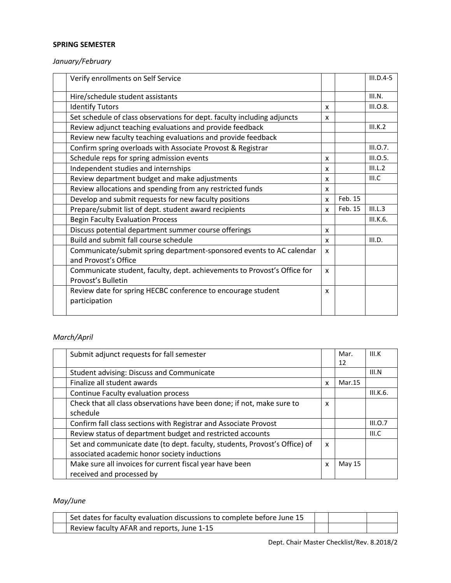### **SPRING SEMESTER**

# *January/February*

| Verify enrollments on Self Service                                       |   |         | $III.D.4-5$ |
|--------------------------------------------------------------------------|---|---------|-------------|
| Hire/schedule student assistants                                         |   |         | III.N.      |
| <b>Identify Tutors</b>                                                   | x |         | III.0.8.    |
| Set schedule of class observations for dept. faculty including adjuncts  | x |         |             |
| Review adjunct teaching evaluations and provide feedback                 |   |         | III.K.2     |
| Review new faculty teaching evaluations and provide feedback             |   |         |             |
| Confirm spring overloads with Associate Provost & Registrar              |   |         | III.0.7.    |
| Schedule reps for spring admission events                                | X |         | III.O.5.    |
| Independent studies and internships                                      | X |         | III.L.2     |
| Review department budget and make adjustments                            | x |         | III.C       |
| Review allocations and spending from any restricted funds                | x |         |             |
| Develop and submit requests for new faculty positions                    | X | Feb. 15 |             |
| Prepare/submit list of dept. student award recipients                    | X | Feb. 15 | III.L.3     |
| <b>Begin Faculty Evaluation Process</b>                                  |   |         | III.K.6.    |
| Discuss potential department summer course offerings                     | x |         |             |
| Build and submit fall course schedule                                    | X |         | III.D.      |
| Communicate/submit spring department-sponsored events to AC calendar     | X |         |             |
| and Provost's Office                                                     |   |         |             |
| Communicate student, faculty, dept. achievements to Provost's Office for | X |         |             |
| Provost's Bulletin                                                       |   |         |             |
| Review date for spring HECBC conference to encourage student             | x |         |             |
| participation                                                            |   |         |             |
|                                                                          |   |         |             |

# *March/April*

| Submit adjunct requests for fall semester                                  |   | Mar.   | III.K    |
|----------------------------------------------------------------------------|---|--------|----------|
|                                                                            |   | 12     |          |
| <b>Student advising: Discuss and Communicate</b>                           |   |        | III.N    |
| Finalize all student awards                                                | x | Mar.15 |          |
| Continue Faculty evaluation process                                        |   |        | III.K.6. |
| Check that all class observations have been done; if not, make sure to     | X |        |          |
| schedule                                                                   |   |        |          |
| Confirm fall class sections with Registrar and Associate Provost           |   |        | III.0.7  |
| Review status of department budget and restricted accounts                 |   |        | III.C    |
| Set and communicate date (to dept. faculty, students, Provost's Office) of | X |        |          |
| associated academic honor society inductions                               |   |        |          |
| Make sure all invoices for current fiscal year have been                   | X | May 15 |          |
| received and processed by                                                  |   |        |          |

# *May/June*

| Set dates for faculty evaluation discussions to complete before June 15 |  |  |
|-------------------------------------------------------------------------|--|--|
| Review faculty AFAR and reports, June 1-15                              |  |  |